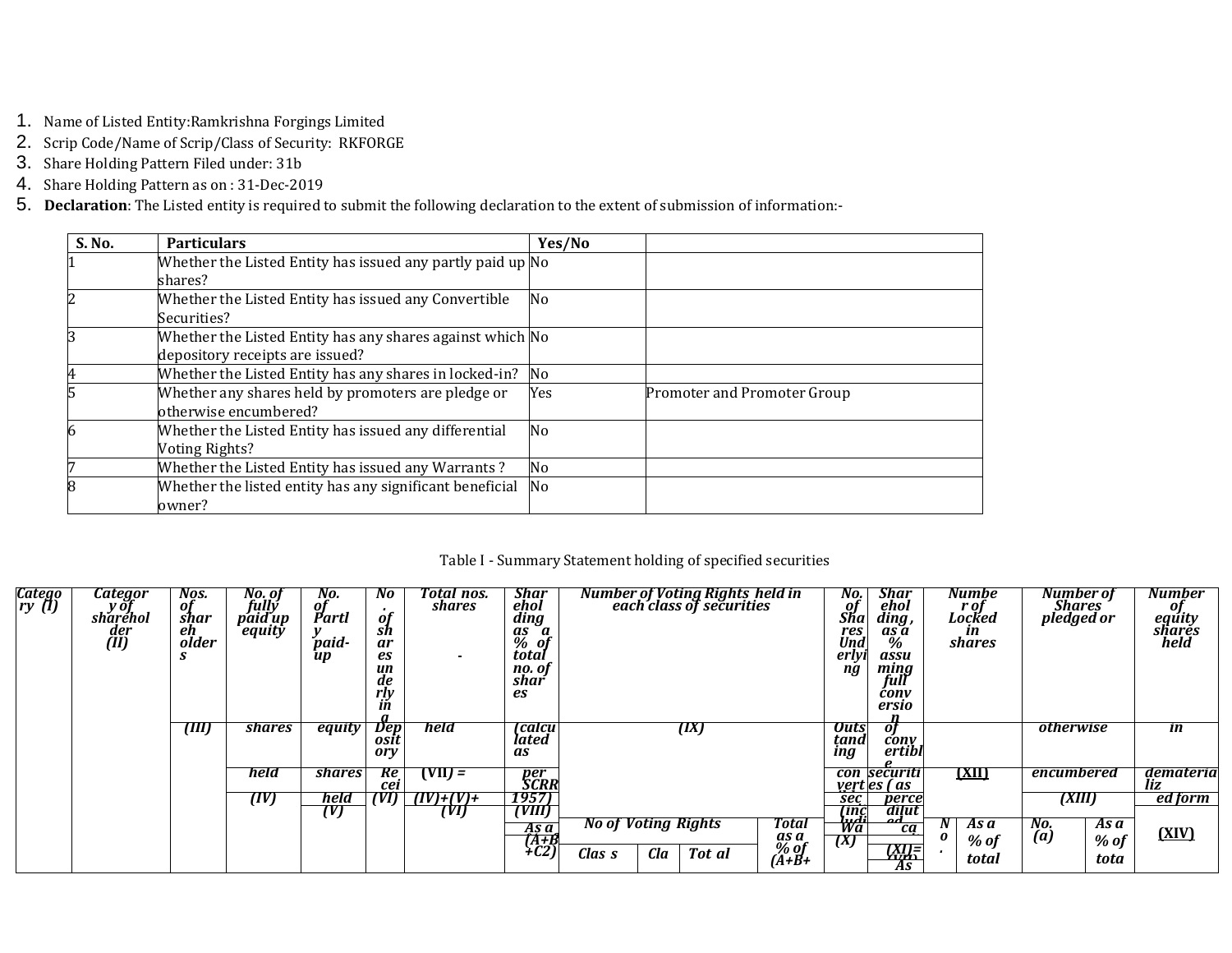- 1. Name of Listed Entity: Ramkrishna Forgings Limited
- 2. Scrip Code/Name of Scrip/Class of Security: RKFORGE
- 3. Share Holding Pattern Filed under: 31b
- 4. Share Holding Pattern as on: 31-Dec-2019
- 5. Declaration: The Listed entity is required to submit the following declaration to the extent of submission of information:-

| S. No. | <b>Particulars</b>                                         | Yes/No |                             |
|--------|------------------------------------------------------------|--------|-----------------------------|
|        | Whether the Listed Entity has issued any partly paid up No |        |                             |
|        | shares?                                                    |        |                             |
|        | Whether the Listed Entity has issued any Convertible       | No     |                             |
|        | Securities?                                                |        |                             |
|        | Whether the Listed Entity has any shares against which No  |        |                             |
|        | depository receipts are issued?                            |        |                             |
| 4      | Whether the Listed Entity has any shares in locked-in?     | No     |                             |
|        | Whether any shares held by promoters are pledge or         | Yes    | Promoter and Promoter Group |
|        | otherwise encumbered?                                      |        |                             |
|        | Whether the Listed Entity has issued any differential      | No     |                             |
|        | Voting Rights?                                             |        |                             |
|        | Whether the Listed Entity has issued any Warrants?         | No     |                             |
|        | Whether the listed entity has any significant beneficial   | No     |                             |
|        | owner?                                                     |        |                             |

Table I - Summary Statement holding of specified securities

| Catego<br>ry (1) | Categor<br>y 01<br>sharehol<br>der<br>(II) | NOS.<br>of<br>shar<br>eh<br>older | No. of<br>fully<br>paid up<br>equity | NO.<br>0ſ<br>Partl<br>paid-<br>up | NO.<br><b>of</b><br>sh<br>ar<br>es<br>un<br>de<br>rly<br>ın | Total nos.<br>shares<br>$\overline{\phantom{a}}$ | <b>Shar</b><br>ehol<br>ding<br>$as \ a$<br>$%$ of<br>total<br>no. of<br>shar<br>es |                                      |     | Number of Voting Rights held in<br>each class of securities |                                  | NO.<br>01<br>Sha<br>res<br>Und<br>erlyi<br>ng | <b>Shar</b><br>ehol<br>ding ,<br>as a<br>%<br>assu<br>mıng<br>full<br>conv<br>ersio | Numbe<br>r of<br>Locked<br>ın<br>shares |                         | Number of<br>Shares<br>pledged or |                        | Number<br>of<br>equity<br>shares<br>held |
|------------------|--------------------------------------------|-----------------------------------|--------------------------------------|-----------------------------------|-------------------------------------------------------------|--------------------------------------------------|------------------------------------------------------------------------------------|--------------------------------------|-----|-------------------------------------------------------------|----------------------------------|-----------------------------------------------|-------------------------------------------------------------------------------------|-----------------------------------------|-------------------------|-----------------------------------|------------------------|------------------------------------------|
|                  |                                            | (III)                             | <b>shares</b>                        | equity                            | Dep<br>osīt<br>ory                                          | held                                             | [calcu<br>lated<br>as                                                              |                                      |     | (IX)                                                        |                                  | <b>Outs</b><br>tand<br>ing                    | of<br>cony<br>ertibl                                                                |                                         |                         | <i><b>otherwise</b></i>           |                        | <i>in</i>                                |
|                  |                                            |                                   | held                                 | <b>shares</b>                     | Re<br>cei                                                   | $(VII) =$                                        | per<br>SCRR                                                                        |                                      |     |                                                             |                                  |                                               | con securiti<br>vert es (as                                                         |                                         | <u>(XII)</u>            | encumbered                        |                        | demateria<br>liz                         |
|                  |                                            |                                   | (IV)                                 | held<br>(V)                       | (VI)                                                        | $T(V) + (V) +$<br>(VI)                           | 1957)<br>(VIII)                                                                    |                                      |     |                                                             |                                  | sec<br>linc<br>hidi                           | perce<br>dilut                                                                      |                                         |                         | (XIII)                            |                        | ed form                                  |
|                  |                                            |                                   |                                      |                                   |                                                             |                                                  | As a<br>(A+B<br>+C2)                                                               | <b>No of Voting Rights</b><br>Clas s | Cla | Tot al                                                      | Total<br>as a<br>% of<br>$(A+B+$ | Wa<br>(X)                                     | ca<br>(XI)=<br>As                                                                   |                                         | As a<br>$%$ of<br>total | No.<br>$\overline{a}$             | As a<br>$%$ of<br>tota | (XIV)                                    |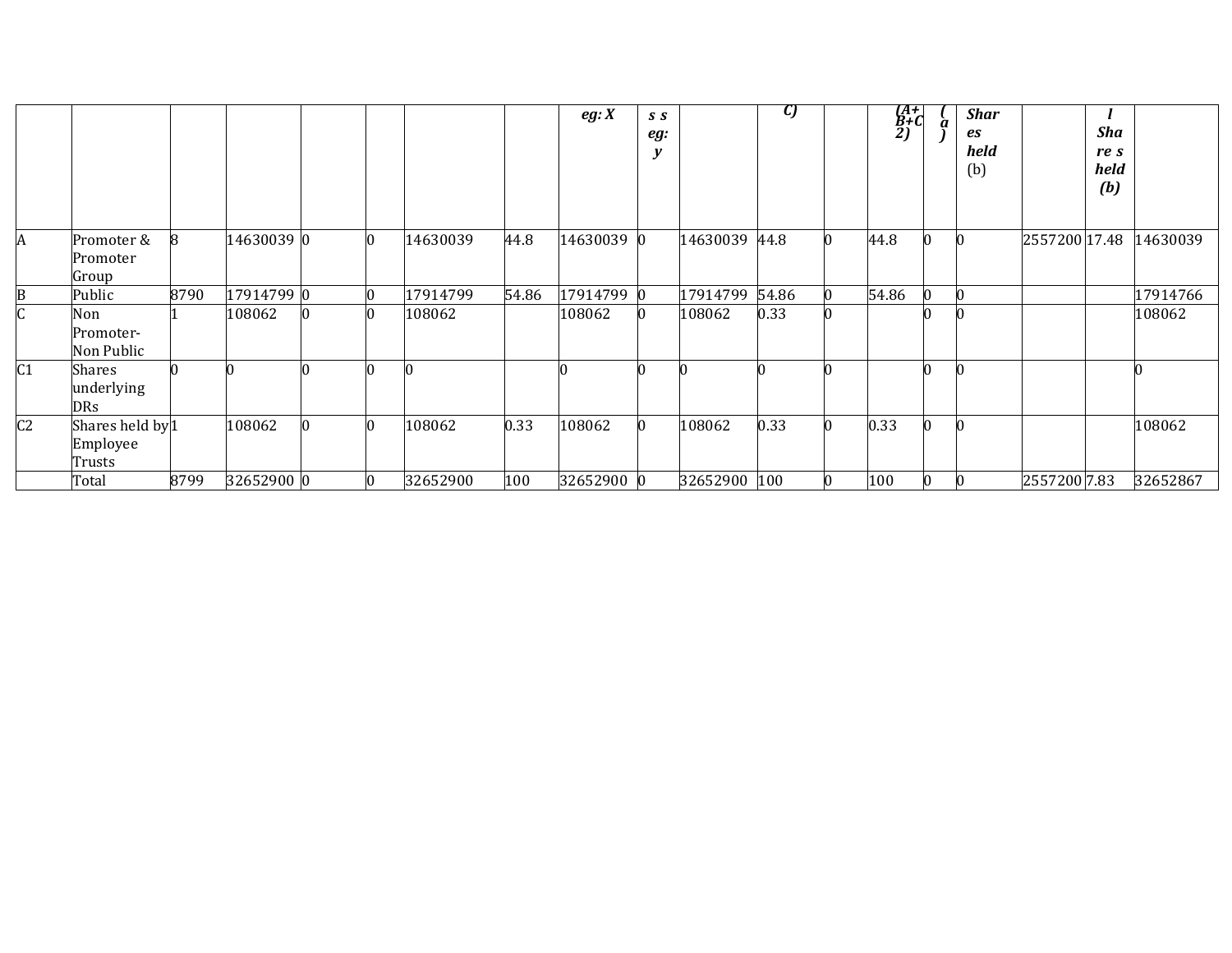|                |                                                   |      |            |   |          |       | eg: X      | S S<br>eg:<br>y |              | U)    |                 | (A+<br>B+C<br>2) | à | <b>Shar</b><br>es<br>held<br>(b) |               | Sha<br>re s<br>held<br>(b) |          |
|----------------|---------------------------------------------------|------|------------|---|----------|-------|------------|-----------------|--------------|-------|-----------------|------------------|---|----------------------------------|---------------|----------------------------|----------|
| А              | Promoter &<br>Promoter<br>Group                   |      | 14630039 0 | Ю | 14630039 | 44.8  | 14630039 0 |                 | 14630039     | 44.8  | 10              | 44.8             |   |                                  | 2557200 17.48 |                            | 14630039 |
|                | Public                                            | 8790 | 17914799 0 |   | 17914799 | 54.86 | 17914799   | $\bf{0}$        | 17914799     | 54.86 |                 | 54.86            |   |                                  |               |                            | 17914766 |
|                | Non<br>Promoter-<br>Non Public                    |      | 108062     | n | 108062   |       | 108062     |                 | 108062       | 0.33  |                 |                  |   |                                  |               |                            | 108062   |
| C <sub>1</sub> | Shares<br>underlying<br><b>DRs</b>                |      |            |   |          |       |            |                 |              |       | n               |                  |   |                                  |               |                            |          |
| C <sub>2</sub> | Shares held by <sup>1</sup><br>Employee<br>Trusts |      | 108062     | n | 108062   | 0.33  | 108062     |                 | 108062       | 0.33  | Ю               | 0.33             |   |                                  |               |                            | 108062   |
|                | Total                                             | 8799 | 32652900 0 | Ю | 32652900 | 100   | 32652900 0 |                 | 32652900 100 |       | $\vert 0 \vert$ | 100              |   |                                  | 2557200 7.83  |                            | 32652867 |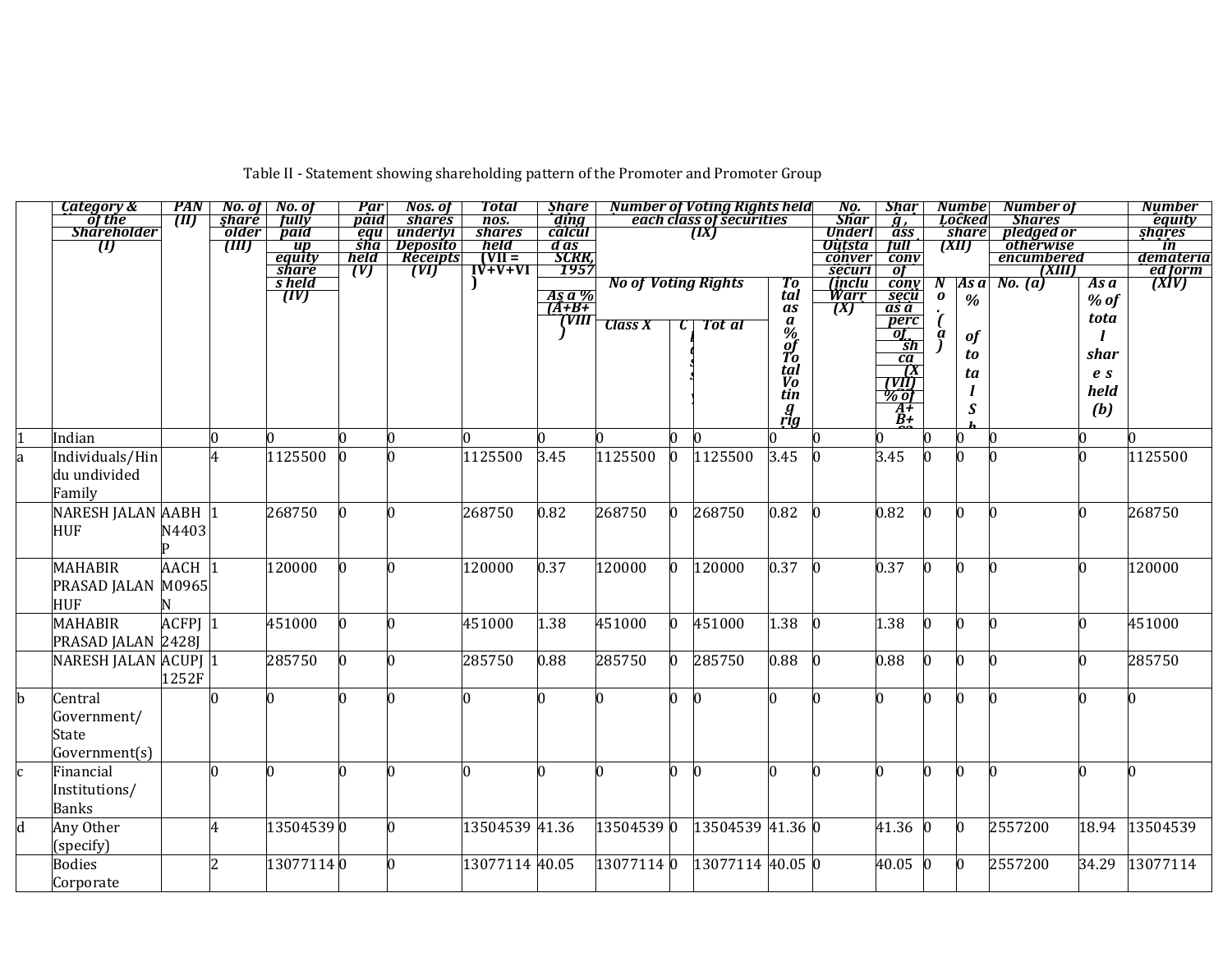Table II - Statement showing shareholding pattern of the Promoter and Promoter Group

|   | Category &                 | <b>PAN</b>        |          | No. of No. of                       | Par                      | Nos. of              | <b>Total</b>                                                                        | <b>Share</b>  |                            |                | <b>Number of Voting Rights held</b> |                                  | No.                            | <b>Shar</b>                                  |    | <b>Numbel</b>         | Number of               |                | <b>Number</b>                            |
|---|----------------------------|-------------------|----------|-------------------------------------|--------------------------|----------------------|-------------------------------------------------------------------------------------|---------------|----------------------------|----------------|-------------------------------------|----------------------------------|--------------------------------|----------------------------------------------|----|-----------------------|-------------------------|----------------|------------------------------------------|
|   | of the                     | TM)               | share    | <b>fully</b>                        | paid                     | <i>shares</i>        | nos.                                                                                | ding          |                            |                | each class of securities            |                                  | <b>Shar</b>                    | $\overline{g}$ ,                             |    | Locked                | <b>Shares</b>           |                | equity                                   |
|   | <b>Shareholder</b>         |                   | older    | paid                                | equ                      | underlyi<br>Deposito | <b>shares</b><br>held <sup>*</sup>                                                  | calcul        |                            |                | (IX)                                |                                  | <b>Underl</b><br><b>Outsta</b> | ass<br>full                                  |    | <i>share</i><br>(XII) | pledged or<br>othérwise |                | shares                                   |
|   | $\boldsymbol{\mathit{U}}$  |                   | (III)    | <u>up</u><br><u>equity</u><br>share | $\overline{sha}$<br>held | Receipts             |                                                                                     | d as<br>SCRR, |                            |                |                                     |                                  | conver                         | conv                                         |    |                       | encumbered              |                | in<br>demateria                          |
|   |                            |                   |          |                                     | (V)                      | (VI)                 | $\begin{array}{c}\n\overrightarrow{VII} = \\ \overrightarrow{IV+V+VI}\n\end{array}$ | 7957          |                            |                |                                     |                                  | securi                         | $\overline{ot}$                              |    |                       | (XIII)                  |                | ed form                                  |
|   |                            |                   |          | s held<br>[IV]                      |                          |                      |                                                                                     |               | <b>No of Voting Rights</b> |                |                                     | Tо                               | <i>(inclu</i>                  | $\overline{conv}$                            | -N | As a                  | <b>No.</b> (a)          | As a           | $\overline{(\overline{X} \overline{V})}$ |
|   |                            |                   |          |                                     |                          |                      |                                                                                     | As a %        |                            |                |                                     | $\tilde{t}$ al                   | Warr                           | secu                                         | 0  | $\%$                  |                         | $%$ of         |                                          |
|   |                            |                   |          |                                     |                          |                      |                                                                                     | $A+B+$<br>VШ  |                            |                |                                     | as                               | (X)                            | $\overline{as}\ \overline{a}$                |    |                       |                         | tota           |                                          |
|   |                            |                   |          |                                     |                          |                      |                                                                                     |               | <b>Class X</b>             |                | Tot al                              |                                  |                                | perc                                         |    |                       |                         |                |                                          |
|   |                            |                   |          |                                     |                          |                      |                                                                                     |               |                            |                |                                     | $\frac{a}{\%}$ of $\frac{a}{\%}$ |                                | $\frac{\overrightarrow{gt}}{\underline{sh}}$ |    | $\bf{f}$              |                         |                |                                          |
|   |                            |                   |          |                                     |                          |                      |                                                                                     |               |                            |                |                                     |                                  |                                | ca                                           |    | to                    |                         | shar           |                                          |
|   |                            |                   |          |                                     |                          |                      |                                                                                     |               |                            |                |                                     | tal<br>V <sub>o</sub>            |                                | $\frac{1}{\sqrt{M}}$                         |    | ta                    |                         | e <sub>s</sub> |                                          |
|   |                            |                   |          |                                     |                          |                      |                                                                                     |               |                            |                |                                     | tin                              |                                |                                              |    |                       |                         | held           |                                          |
|   |                            |                   |          |                                     |                          |                      |                                                                                     |               |                            |                |                                     | $g_{\rm rig}$                    |                                | $\frac{\frac{1}{2}}{\frac{1}{2}+}$           |    | $\boldsymbol{S}$      |                         | (b)            |                                          |
|   |                            |                   |          |                                     |                          |                      |                                                                                     |               |                            |                |                                     |                                  |                                | $\ddot{B}$ +                                 |    |                       |                         |                |                                          |
|   | Indian                     |                   | $\Omega$ |                                     |                          | l0                   |                                                                                     | n             |                            | $\overline{0}$ |                                     |                                  |                                |                                              |    | n.                    |                         |                |                                          |
|   | Individuals/Hin            |                   | 4        | 1125500                             |                          | n                    | 1125500                                                                             | 3.45          | 1125500                    | $\overline{0}$ | 1125500                             | 3.45                             |                                | 3.45                                         |    |                       |                         |                | 1125500                                  |
|   | du undivided               |                   |          |                                     |                          |                      |                                                                                     |               |                            |                |                                     |                                  |                                |                                              |    |                       |                         |                |                                          |
|   | Family                     |                   |          |                                     |                          |                      |                                                                                     |               |                            |                |                                     |                                  |                                |                                              |    |                       |                         |                |                                          |
|   | NARESH JALAN AABH 1        |                   |          | 268750                              |                          | n                    | 268750                                                                              | 0.82          | 268750                     | $\overline{0}$ | 268750                              | 0.82                             |                                | 0.82                                         | n  | $\Omega$              |                         | U              | 268750                                   |
|   | <b>HUF</b>                 | N4403             |          |                                     |                          |                      |                                                                                     |               |                            |                |                                     |                                  |                                |                                              |    |                       |                         |                |                                          |
|   |                            |                   |          |                                     |                          |                      |                                                                                     |               |                            |                |                                     |                                  |                                |                                              |    |                       |                         |                |                                          |
|   |                            |                   |          |                                     |                          | n                    | 120000                                                                              |               |                            | $\overline{0}$ |                                     |                                  |                                |                                              |    | $\Omega$              |                         | n              |                                          |
|   | <b>MAHABIR</b>             | AACH <sup>1</sup> |          | 120000                              |                          |                      |                                                                                     | 0.37          | 120000                     |                | 120000                              | 0.37                             |                                | 0.37                                         | 0  |                       |                         |                | 120000                                   |
|   | PRASAD JALAN M0965         |                   |          |                                     |                          |                      |                                                                                     |               |                            |                |                                     |                                  |                                |                                              |    |                       |                         |                |                                          |
|   | <b>HUF</b>                 |                   |          |                                     |                          |                      |                                                                                     |               |                            |                |                                     |                                  |                                |                                              |    |                       |                         |                |                                          |
|   | <b>MAHABIR</b>             | ACFPJ 1           |          | 451000                              |                          | n                    | 451000                                                                              | 1.38          | 451000                     | $\overline{0}$ | 451000                              | 1.38                             |                                | 1.38                                         | n  | <sup>0</sup>          |                         |                | 451000                                   |
|   | PRASAD JALAN 2428J         |                   |          |                                     |                          |                      |                                                                                     |               |                            |                |                                     |                                  |                                |                                              |    |                       |                         |                |                                          |
|   | NARESH JALAN ACUPJ 1       |                   |          | 285750                              |                          | n                    | 285750                                                                              | 0.88          | 285750                     | $\overline{0}$ | 285750                              | 0.88                             |                                | 0.88                                         | n  | <sup>0</sup>          |                         |                | 285750                                   |
|   |                            | 1252F             |          |                                     |                          |                      |                                                                                     |               |                            |                |                                     |                                  |                                |                                              |    |                       |                         |                |                                          |
| b | Central                    |                   |          |                                     |                          | n                    |                                                                                     |               |                            | $\overline{0}$ | n                                   |                                  |                                | n                                            |    | n                     |                         |                |                                          |
|   | Government/                |                   |          |                                     |                          |                      |                                                                                     |               |                            |                |                                     |                                  |                                |                                              |    |                       |                         |                |                                          |
|   | State                      |                   |          |                                     |                          |                      |                                                                                     |               |                            |                |                                     |                                  |                                |                                              |    |                       |                         |                |                                          |
|   |                            |                   |          |                                     |                          |                      |                                                                                     |               |                            |                |                                     |                                  |                                |                                              |    |                       |                         |                |                                          |
|   | Government(s)              |                   |          |                                     |                          |                      |                                                                                     |               |                            |                |                                     |                                  |                                |                                              |    |                       |                         |                |                                          |
|   | Financial                  |                   | $\Omega$ |                                     |                          | n                    | 0                                                                                   |               |                            | $\overline{0}$ | IO.                                 |                                  |                                | n                                            |    | <sup>n</sup>          |                         |                |                                          |
|   | Institutions/              |                   |          |                                     |                          |                      |                                                                                     |               |                            |                |                                     |                                  |                                |                                              |    |                       |                         |                |                                          |
|   | <b>Banks</b>               |                   |          |                                     |                          |                      |                                                                                     |               |                            |                |                                     |                                  |                                |                                              |    |                       |                         |                |                                          |
| d | Any Other                  |                   | 4        | 135045390                           |                          | n                    | 13504539 41.36                                                                      |               | 135045390                  |                | 13504539 41.36 0                    |                                  |                                | 41.36                                        |    | $\Omega$              | 2557200                 | 18.94          | 13504539                                 |
|   | (specify)                  |                   |          |                                     |                          |                      |                                                                                     |               |                            |                |                                     |                                  |                                |                                              |    |                       |                         |                |                                          |
|   |                            |                   |          |                                     |                          | n                    |                                                                                     |               |                            |                |                                     |                                  |                                |                                              |    |                       |                         |                |                                          |
|   |                            |                   |          |                                     |                          |                      |                                                                                     |               |                            |                |                                     |                                  |                                |                                              |    |                       |                         |                |                                          |
|   | <b>Bodies</b><br>Corporate |                   | 2        | 130771140                           |                          |                      | 13077114 40.05                                                                      |               | 130771140                  |                | 13077114 40.05 0                    |                                  |                                | 40.05 0                                      |    | $\overline{0}$        | 2557200                 | 34.29          | 13077114                                 |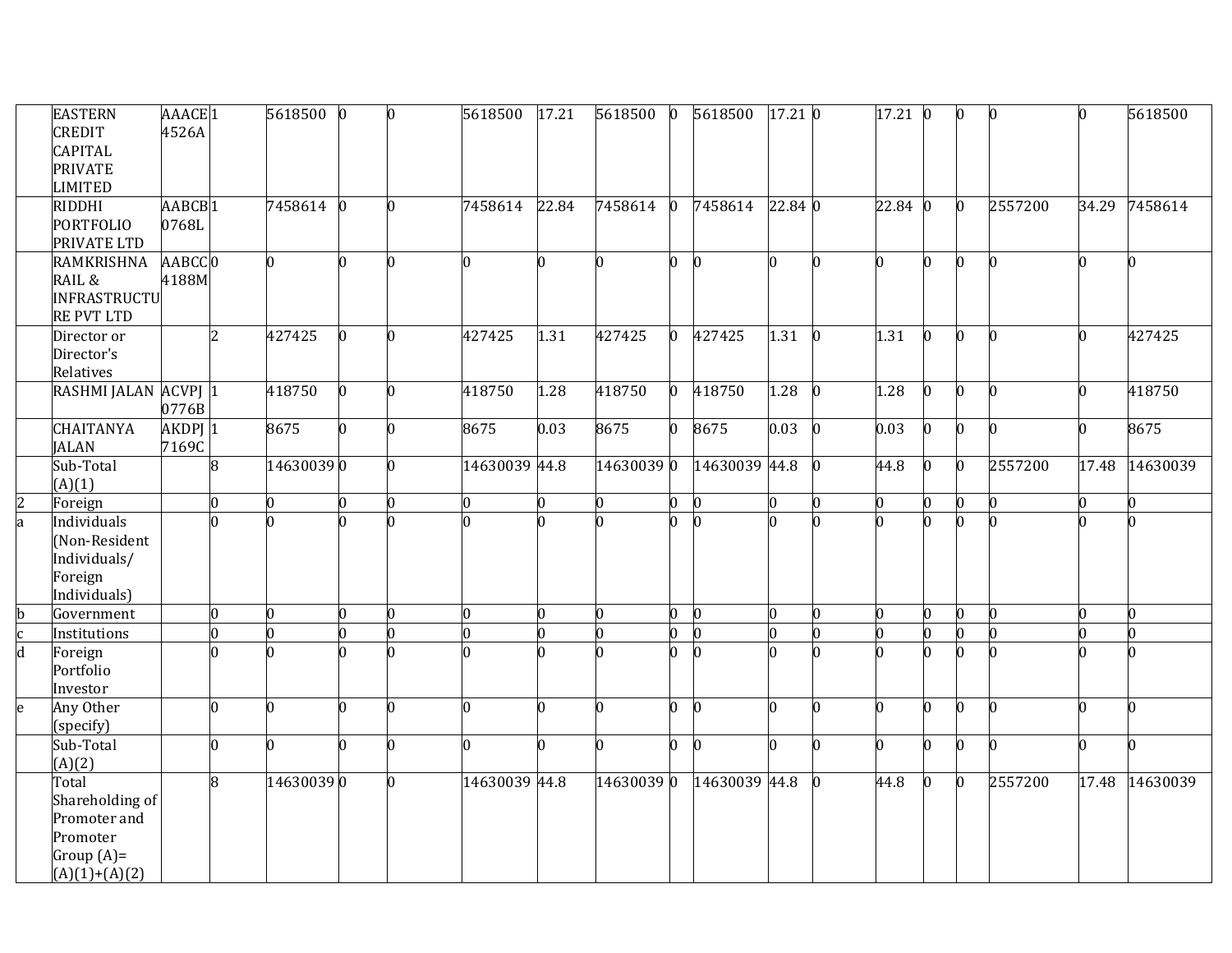|               | <b>EASTERN</b><br>CREDIT                    | AAACE <sub>1</sub><br>4526A |                | 5618500        | $\mathbf{0}$   | n  | 5618500        | 17.21 | 5618500    | $\bf{0}$       | 5618500       | 17.21 0 |                | $17.21\ 0$   |              | $\vert 0 \vert$ | $\bf{0}$ |       | 5618500  |
|---------------|---------------------------------------------|-----------------------------|----------------|----------------|----------------|----|----------------|-------|------------|----------------|---------------|---------|----------------|--------------|--------------|-----------------|----------|-------|----------|
|               | <b>CAPITAL</b><br><b>PRIVATE</b><br>LIMITED |                             |                |                |                |    |                |       |            |                |               |         |                |              |              |                 |          |       |          |
|               | <b>RIDDHI</b><br><b>PORTFOLIO</b>           | AABCB <sub>1</sub><br>0768L |                | 7458614 0      |                | n. | 7458614        | 22.84 | 7458614    | $\bf{0}$       | 7458614       | 22.84 0 |                | $22.84 \; 0$ |              | $\vert 0 \vert$ | 2557200  | 34.29 | 7458614  |
|               | PRIVATE LTD                                 |                             |                |                |                |    |                |       |            |                |               |         |                |              |              |                 |          |       |          |
|               | <b>RAMKRISHNA</b>                           | AABCC 0                     |                | $\overline{0}$ |                | n. | n.             | 0     |            | 0              | $\mathbf{0}$  | n.      | n.             | n.           |              | $\overline{0}$  | n        |       |          |
|               | RAIL &<br>INFRASTRUCTU<br><b>RE PVT LTD</b> | 4188M                       |                |                |                |    |                |       |            |                |               |         |                |              |              |                 |          |       |          |
|               | Director or<br>Director's<br>Relatives      |                             | $\overline{2}$ | 427425         | n.             | n. | 427425         | 1.31  | 427425     | $\overline{0}$ | 427425        | 1.31    | $\bf{0}$       | 1.31         | $\mathbf{0}$ | $\Omega$        | $\bf{0}$ |       | 427425   |
|               | RASHMI JALAN ACVPJ 1                        |                             |                | 418750         | l0.            | n. | 418750         | 1.28  | 418750     | $\overline{0}$ | 418750        | 1.28    | $\mathbf{0}$   | 1.28         |              | n.              | 0        |       | 418750   |
|               |                                             | 0776B                       |                |                |                |    |                |       |            |                |               |         |                |              |              |                 |          |       |          |
|               | <b>CHAITANYA</b>                            | AKDPJ 1                     |                | 8675           | n.             | n. | 8675           | 0.03  | 8675       | $\bf{0}$       | 8675          | 0.03    | $\bf{0}$       | 0.03         | 0            | $\Omega$        | l0       |       | 8675     |
|               | <b>JALAN</b>                                | 7169C                       |                |                |                |    |                |       |            |                |               |         |                |              |              |                 |          |       |          |
|               | Sub-Total                                   |                             | 8              | 146300390      |                | n. | 14630039 44.8  |       | 14630039 0 |                | 14630039 44.8 |         | $\Omega$       | 44.8         | 0            | $\mathbf{0}$    | 2557200  | 17.48 | 14630039 |
|               | (A)(1)                                      |                             |                |                |                |    |                |       |            |                |               |         |                |              |              |                 |          |       |          |
| $\frac{2}{a}$ | Foreign                                     |                             | $\overline{0}$ | $\overline{0}$ | 0              | 0  | $\bf{0}$       | 0     | n          | $\overline{0}$ | $\bf{0}$      | n       | 0              | 0            |              | 0               | 0        |       |          |
|               | Individuals                                 |                             | <sup>0</sup>   | <sup>o</sup>   |                |    | n              | O.    |            | n              |               |         | <sup>0</sup>   |              |              | <sup>0</sup>    |          |       |          |
|               | (Non-Resident<br>Individuals/               |                             |                |                |                |    |                |       |            |                |               |         |                |              |              |                 |          |       |          |
|               | Foreign                                     |                             |                |                |                |    |                |       |            |                |               |         |                |              |              |                 |          |       |          |
|               | Individuals)                                |                             |                |                |                |    |                |       |            |                |               |         |                |              |              |                 |          |       |          |
|               | Government                                  |                             | $\overline{0}$ | $\overline{0}$ | $\overline{a}$ | n  | $\overline{0}$ | 0     |            | 0              | $\bf{0}$      | n       | $\overline{0}$ |              |              | $\overline{0}$  | 0        |       |          |
| b<br>c<br>d   | Institutions                                |                             | $\overline{0}$ | $\overline{0}$ | U              |    | $\overline{0}$ | O.    |            | $\Omega$       | $\bf{0}$      |         | $\overline{0}$ |              |              | $\overline{0}$  | U        |       |          |
|               | Foreign                                     |                             | n.             | 0              |                | n  | n              |       |            | <sup>0</sup>   | n             |         | n.             |              |              | <sup>0</sup>    |          |       |          |
|               | Portfolio                                   |                             |                |                |                |    |                |       |            |                |               |         |                |              |              |                 |          |       |          |
|               | Investor                                    |                             |                |                |                |    |                |       |            |                |               |         |                |              |              |                 |          |       |          |
| e             | Any Other<br>(specify)                      |                             | $\overline{0}$ | O.             | U.             | 0  | O.             | O     |            | 0              | $\bf{0}$      | n       | n.             | 0            | n            | l0              | 0        |       |          |
|               | Sub-Total                                   |                             | $\overline{0}$ | 0              |                | O. | n.             | O.    |            | $\Omega$       | n             | n.      | n.             |              |              | O.              | O.       |       |          |
|               | (A)(2)                                      |                             |                |                |                |    |                |       |            |                |               |         |                |              |              |                 |          |       |          |
|               | Total                                       |                             | $\overline{8}$ | 146300390      |                | n. | 14630039 44.8  |       | 146300390  |                | 14630039 44.8 |         | $\bf{0}$       | 44.8         | 0            | $\vert 0 \vert$ | 2557200  | 17.48 | 14630039 |
|               | Shareholding of                             |                             |                |                |                |    |                |       |            |                |               |         |                |              |              |                 |          |       |          |
|               | Promoter and                                |                             |                |                |                |    |                |       |            |                |               |         |                |              |              |                 |          |       |          |
|               | Promoter                                    |                             |                |                |                |    |                |       |            |                |               |         |                |              |              |                 |          |       |          |
|               | Group $(A)$ =<br>$(A)(1)+(A)(2)$            |                             |                |                |                |    |                |       |            |                |               |         |                |              |              |                 |          |       |          |
|               |                                             |                             |                |                |                |    |                |       |            |                |               |         |                |              |              |                 |          |       |          |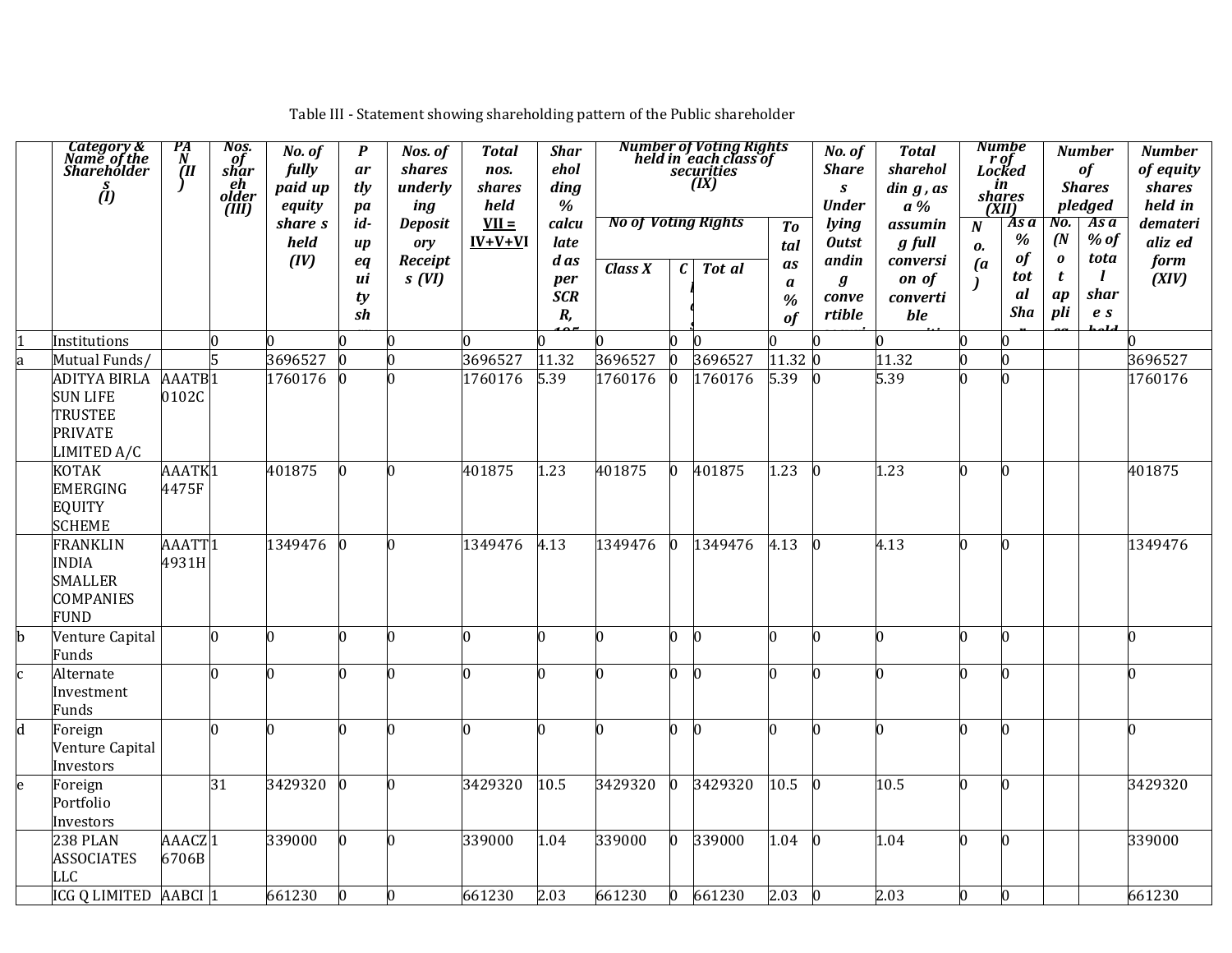|   | Category &<br>Name of the<br>Shareholder<br>$\stackrel{s}{(l)}$                           | $\frac{PA}{N}$<br>ĨШ        | Nos.<br>of<br>shar<br>eh<br>older<br>(III) | No. of<br>fully<br>paid up<br>equity | P<br>ar<br>tly<br>pa                | Nos. of<br>shares<br>underly<br>ing       | <b>Total</b><br>nos.<br>shares<br>held | <b>Shar</b><br>ehol<br>ding<br>$\%$ |                                       |   | Number of Voting Rights<br>held in each class of<br>securities<br>(IX) |                                     | No. of<br><b>Share</b><br>$\boldsymbol{S}$<br><b>Under</b> | <b>Total</b><br>sharehol<br>$\sin g$ , $\alpha s$<br>$a\%$ |                                          | <b>Numbe</b><br>r of<br>Locked<br>in<br>shares<br>(XII) |                      | <b>Number</b><br>of<br><b>Shares</b><br>pledged | <b>Number</b><br>of equity<br>shares<br>held in |
|---|-------------------------------------------------------------------------------------------|-----------------------------|--------------------------------------------|--------------------------------------|-------------------------------------|-------------------------------------------|----------------------------------------|-------------------------------------|---------------------------------------|---|------------------------------------------------------------------------|-------------------------------------|------------------------------------------------------------|------------------------------------------------------------|------------------------------------------|---------------------------------------------------------|----------------------|-------------------------------------------------|-------------------------------------------------|
|   |                                                                                           |                             |                                            | share s<br>held<br>(IV)              | id-<br>$\boldsymbol{u}$<br>eq<br>иi | <b>Deposit</b><br>ory<br>Receipt<br>s(VI) | $VII =$<br>$IV+V+VI$                   | calcu<br>late<br>d as<br>per        | <b>No of Voting Rights</b><br>Class X | C | Tot al                                                                 | To<br>tal<br>as<br>$\boldsymbol{a}$ | lying<br><b>Outst</b><br>andin<br>$\boldsymbol{g}$         | assumin<br>g full<br>conversi<br>on of                     | $\boldsymbol{N}$<br>0.<br>$\mathfrak{a}$ | As a<br>%<br><b>of</b><br>tot                           | No.<br>(N)<br>0<br>t | As a<br>$%$ of<br>tota<br>$\mathbf{I}$          | demateri<br>aliz ed<br>form<br>(XIV)            |
|   |                                                                                           |                             |                                            |                                      | ty<br>sh                            |                                           |                                        | <b>SCR</b><br>R,                    |                                       |   |                                                                        | %<br>of                             | conve<br>rtible                                            | converti<br>ble                                            |                                          | al<br><b>Sha</b>                                        | ap<br>pli            | shar<br>$\boldsymbol{e}$ s                      |                                                 |
|   | Institutions                                                                              |                             | 0                                          |                                      |                                     | O                                         |                                        |                                     |                                       |   |                                                                        |                                     |                                                            |                                                            | n                                        | U                                                       |                      |                                                 |                                                 |
|   | Mutual Funds/                                                                             |                             |                                            | 3696527                              | l0                                  | $\overline{0}$                            | 3696527                                | 11.32                               | 3696527                               |   | 3696527                                                                | 11.32 0                             |                                                            | 11.32                                                      | n                                        | n.                                                      |                      |                                                 | 3696527                                         |
|   | <b>ADITYA BIRLA</b><br><b>SUN LIFE</b><br><b>TRUSTEE</b><br><b>PRIVATE</b><br>LIMITED A/C | AAATB <sub>1</sub><br>0102C |                                            | 1760176                              | n                                   | n                                         | 1760176                                | 5.39                                | 1760176                               |   | 1760176                                                                | 5.39                                | $\overline{0}$                                             | 5.39                                                       | n                                        | <sup>n</sup>                                            |                      |                                                 | 1760176                                         |
|   | <b>KOTAK</b><br><b>EMERGING</b><br><b>EQUITY</b><br><b>SCHEME</b>                         | AAATK1<br>4475F             |                                            | 401875                               | <sup>0</sup>                        | n                                         | 401875                                 | 1.23                                | 401875                                |   | 401875                                                                 | 1.23                                | l0                                                         | 1.23                                                       | <sup>0</sup>                             | n.                                                      |                      |                                                 | 401875                                          |
|   | <b>FRANKLIN</b><br><b>INDIA</b><br><b>SMALLER</b><br><b>COMPANIES</b><br><b>FUND</b>      | AAATT <sub>1</sub><br>4931H |                                            | 1349476                              | n.                                  | n                                         | 1349476                                | 4.13                                | 1349476                               |   | 1349476                                                                | 4.13                                | l0                                                         | 4.13                                                       | <sup>0</sup>                             | n                                                       |                      |                                                 | 1349476                                         |
|   | Venture Capital<br>Funds                                                                  |                             | $\Omega$                                   | 0                                    | n                                   | n                                         |                                        |                                     | n                                     |   |                                                                        |                                     | h                                                          | n                                                          | n                                        | n                                                       |                      |                                                 | <sup>0</sup>                                    |
| h | Alternate<br>Investment<br>Funds                                                          |                             | <sup>0</sup>                               | n                                    | n                                   | n                                         |                                        |                                     | n                                     |   |                                                                        |                                     | In                                                         | n                                                          | n                                        | n                                                       |                      |                                                 | <sup>0</sup>                                    |
| d | Foreign<br>Venture Capital<br>Investors                                                   |                             | n                                          | n                                    | n                                   | n                                         |                                        |                                     | n                                     |   |                                                                        |                                     | n                                                          | n                                                          | n                                        | n                                                       |                      |                                                 | n.                                              |
| e | Foreign<br>Portfolio<br>Investors                                                         |                             | 31                                         | 3429320                              | $\Omega$                            | $\Omega$                                  | 3429320                                | 10.5                                | 3429320                               |   | 3429320                                                                | 10.5                                | $\vert$ 0                                                  | 10.5                                                       | $\overline{0}$                           | n.                                                      |                      |                                                 | 3429320                                         |
|   | 238 PLAN<br><b>ASSOCIATES</b><br>LLC                                                      | AAACZ <sup>1</sup><br>6706B |                                            | 339000                               | n                                   | n                                         | 339000                                 | 1.04                                | 339000                                |   | 339000                                                                 | 1.04                                | l0                                                         | 1.04                                                       | <sup>0</sup>                             | n                                                       |                      |                                                 | 339000                                          |
|   | ICG Q LIMITED                                                                             | AABCI <sub>1</sub>          |                                            | 661230                               | l0                                  | O.                                        | 661230                                 | $\overline{2.03}$                   | 661230                                |   | 661230                                                                 | 2.03                                | $\Omega$                                                   | 2.03                                                       | $\overline{0}$                           | $\Omega$                                                |                      |                                                 | 661230                                          |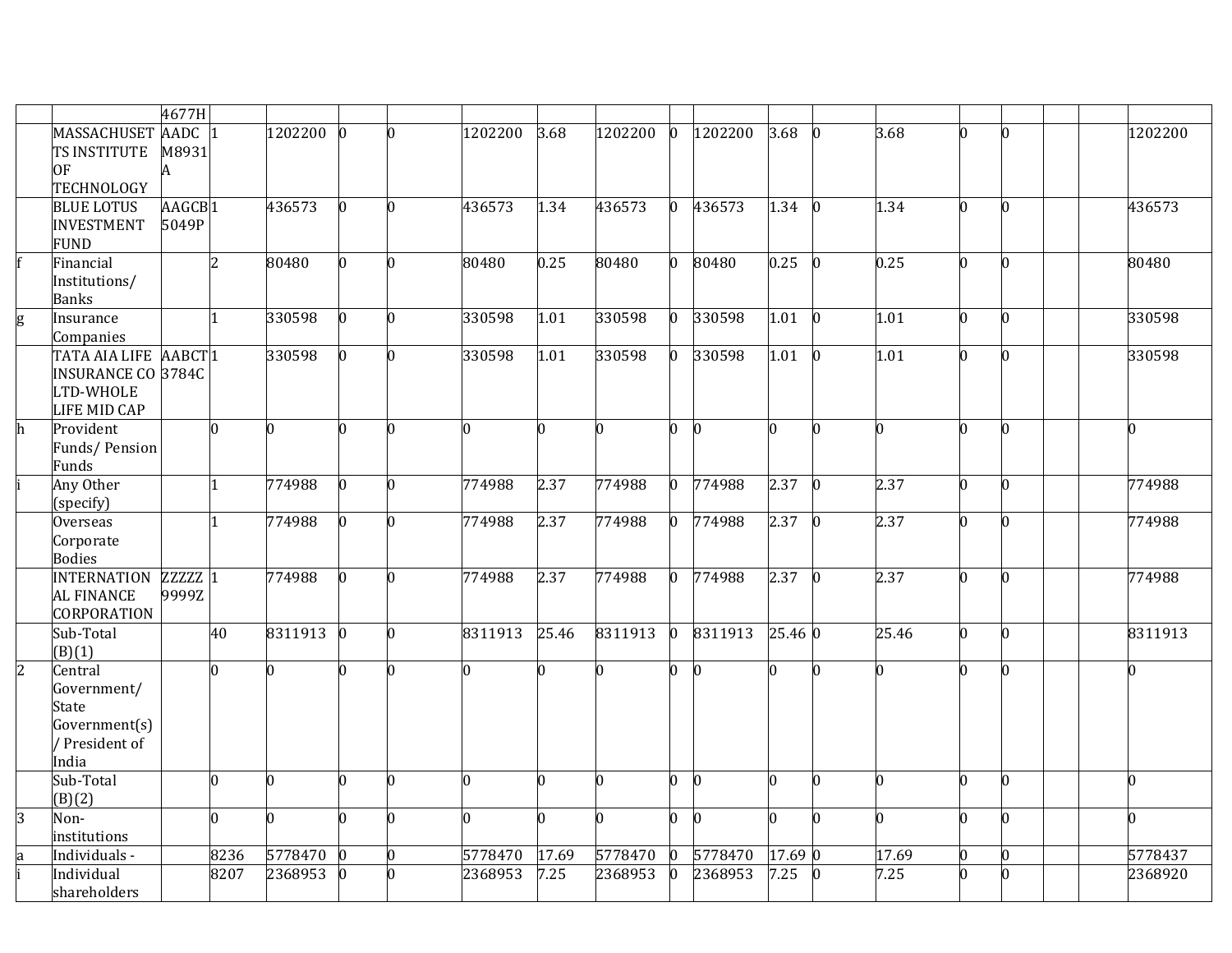|                |                           | 4677H              |                |         |     |                |         |                |                |                |              |                |             |              |                |                 |  |                |
|----------------|---------------------------|--------------------|----------------|---------|-----|----------------|---------|----------------|----------------|----------------|--------------|----------------|-------------|--------------|----------------|-----------------|--|----------------|
|                | MASSACHUSET AADC 1        |                    |                | 1202200 |     | n              | 1202200 | 3.68           | 1202200        | $\overline{0}$ | 1202200      | 3.68           | $\bf{0}$    | 3.68         | h              |                 |  | 1202200        |
|                | TS INSTITUTE              | M8931              |                |         |     |                |         |                |                |                |              |                |             |              |                |                 |  |                |
|                | 0F                        | A                  |                |         |     |                |         |                |                |                |              |                |             |              |                |                 |  |                |
|                | <b>TECHNOLOGY</b>         |                    |                |         |     |                |         |                |                |                |              |                |             |              |                |                 |  |                |
|                | <b>BLUE LOTUS</b>         | AAGCB <sub>1</sub> |                | 436573  |     | n.             | 436573  | 1.34           | 436573         | $\overline{0}$ | 436573       | 1.34           | $ 0\rangle$ | 1.34         | h              | $\Omega$        |  | 436573         |
|                | <b>INVESTMENT</b>         | 5049P              |                |         |     |                |         |                |                |                |              |                |             |              |                |                 |  |                |
|                | <b>FUND</b>               |                    |                |         |     |                |         |                |                |                |              |                |             |              |                |                 |  |                |
|                | Financial                 |                    | $\overline{2}$ | 80480   |     | 0              | 80480   | 0.25           | 80480          | $\mathbf{0}$   | 80480        | $0.25 \ 0$     |             | 0.25         | n              | $\Omega$        |  | 80480          |
|                | Institutions/             |                    |                |         |     |                |         |                |                |                |              |                |             |              |                |                 |  |                |
|                | <b>Banks</b>              |                    |                |         |     |                |         |                |                |                |              |                |             |              |                |                 |  |                |
| g              | Insurance                 |                    | 11             | 330598  |     | 0              | 330598  | 1.01           | 330598         | $\mathbf{0}$   | 330598       | 1.01           | $\bf{0}$    | 1.01         | n              | $\Omega$        |  | 330598         |
|                | Companies                 |                    |                |         |     |                |         |                |                |                |              |                |             |              |                |                 |  |                |
|                | TATA AIA LIFE AABCT1      |                    |                | 330598  |     | 0              | 330598  | 1.01           | 330598         | $\overline{0}$ | 330598       | 1.01           | $\bf{0}$    | 1.01         | n              |                 |  | 330598         |
|                | <b>INSURANCE CO 3784C</b> |                    |                |         |     |                |         |                |                |                |              |                |             |              |                |                 |  |                |
|                | LTD-WHOLE                 |                    |                |         |     |                |         |                |                |                |              |                |             |              |                |                 |  |                |
|                | LIFE MID CAP              |                    |                |         |     |                |         |                |                |                |              |                |             |              |                |                 |  |                |
| h              | Provident                 |                    | n.             | n.      | n   | <sup>0</sup>   | n.      | n.             | U              | 0              | $\Omega$     |                | O.          | n.           | n              | $\Omega$        |  | 0              |
|                | Funds/Pension             |                    |                |         |     |                |         |                |                |                |              |                |             |              |                |                 |  |                |
|                | Funds                     |                    |                |         |     |                |         |                |                |                |              |                |             |              |                |                 |  |                |
|                | Any Other                 |                    | 1              | 774988  |     | O.             | 774988  | 2.37           | 774988         | $\overline{0}$ | 774988       | 2.37           | $\bf{0}$    | 2.37         | $\overline{0}$ | n               |  | 774988         |
|                | (specify)                 |                    |                |         |     |                |         |                |                |                |              |                |             |              |                |                 |  |                |
|                | <b>Overseas</b>           |                    | 1              | 774988  | n   | n.             | 774988  | 2.37           | 774988         | $\mathbf{0}$   | 774988       | $2.37 \quad 0$ |             | 2.37         | n              | l0              |  | 774988         |
|                | Corporate                 |                    |                |         |     |                |         |                |                |                |              |                |             |              |                |                 |  |                |
|                | <b>Bodies</b>             |                    |                |         |     |                |         |                |                |                |              |                |             |              |                |                 |  |                |
|                | <b>INTERNATION</b>        | $ZZZZZ$ $1$        |                | 774988  |     | 0              | 774988  | 2.37           | 774988         | $\overline{0}$ | 774988       | $2.37 \ 0$     |             | 2.37         | h              | $\Omega$        |  | 774988         |
|                | <b>AL FINANCE</b>         | 9999Z              |                |         |     |                |         |                |                |                |              |                |             |              |                |                 |  |                |
|                | CORPORATION               |                    |                |         |     |                |         |                |                |                |              |                |             |              |                |                 |  |                |
|                | Sub-Total                 |                    | 40             | 8311913 | In. | n.             | 8311913 | 25.46          | 8311913        | $\overline{0}$ | 8311913      | 25.46 0        |             | 25.46        | n.             | $\Omega$        |  | 8311913        |
|                | (B)(1)                    |                    |                |         |     |                |         |                |                |                |              |                |             |              |                |                 |  |                |
| $\overline{2}$ | Central                   |                    | n.             | n.      |     | n.             | n.      | O.             |                | $\overline{0}$ | n.           |                | n.          | 0            | h              | $\Omega$        |  | $\overline{0}$ |
|                | Government/               |                    |                |         |     |                |         |                |                |                |              |                |             |              |                |                 |  |                |
|                | State                     |                    |                |         |     |                |         |                |                |                |              |                |             |              |                |                 |  |                |
|                | Government(s)             |                    |                |         |     |                |         |                |                |                |              |                |             |              |                |                 |  |                |
|                | / President of            |                    |                |         |     |                |         |                |                |                |              |                |             |              |                |                 |  |                |
|                | India                     |                    |                |         |     |                |         |                |                |                |              |                |             |              |                |                 |  |                |
|                | Sub-Total                 |                    | O.             | n.      | n   | $\overline{0}$ | n.      | $\overline{0}$ | $\Omega$       | $\overline{0}$ | $\mathbf{0}$ |                | O.          | n.           | l0             | $\Omega$        |  | 0              |
|                | (B)(2)                    |                    |                |         |     |                |         |                |                |                |              |                |             |              |                |                 |  |                |
| $\overline{3}$ | Non-                      |                    | n.             | O.      | n   | n.             | n.      | l0             | $\overline{a}$ | $\overline{0}$ | l0           |                | n.          | <sup>o</sup> | n              | n.              |  | 0              |
|                | institutions              |                    |                |         |     |                |         |                |                |                |              |                |             |              |                |                 |  |                |
|                | Individuals -             |                    | 8236           | 5778470 |     | 0              | 5778470 | 17.69          | 5778470        | 0              | 5778470      | 17.69 0        |             | 17.69        | $\overline{0}$ | $\vert 0 \vert$ |  | 5778437        |
|                | Individual                |                    | 8207           | 2368953 |     | n.             | 2368953 | 7.25           | 2368953        | $\bf{0}$       | 2368953      | 7.25           | Ю           | 7.25         | n              |                 |  | 2368920        |
|                | shareholders              |                    |                |         |     |                |         |                |                |                |              |                |             |              |                |                 |  |                |
|                |                           |                    |                |         |     |                |         |                |                |                |              |                |             |              |                |                 |  |                |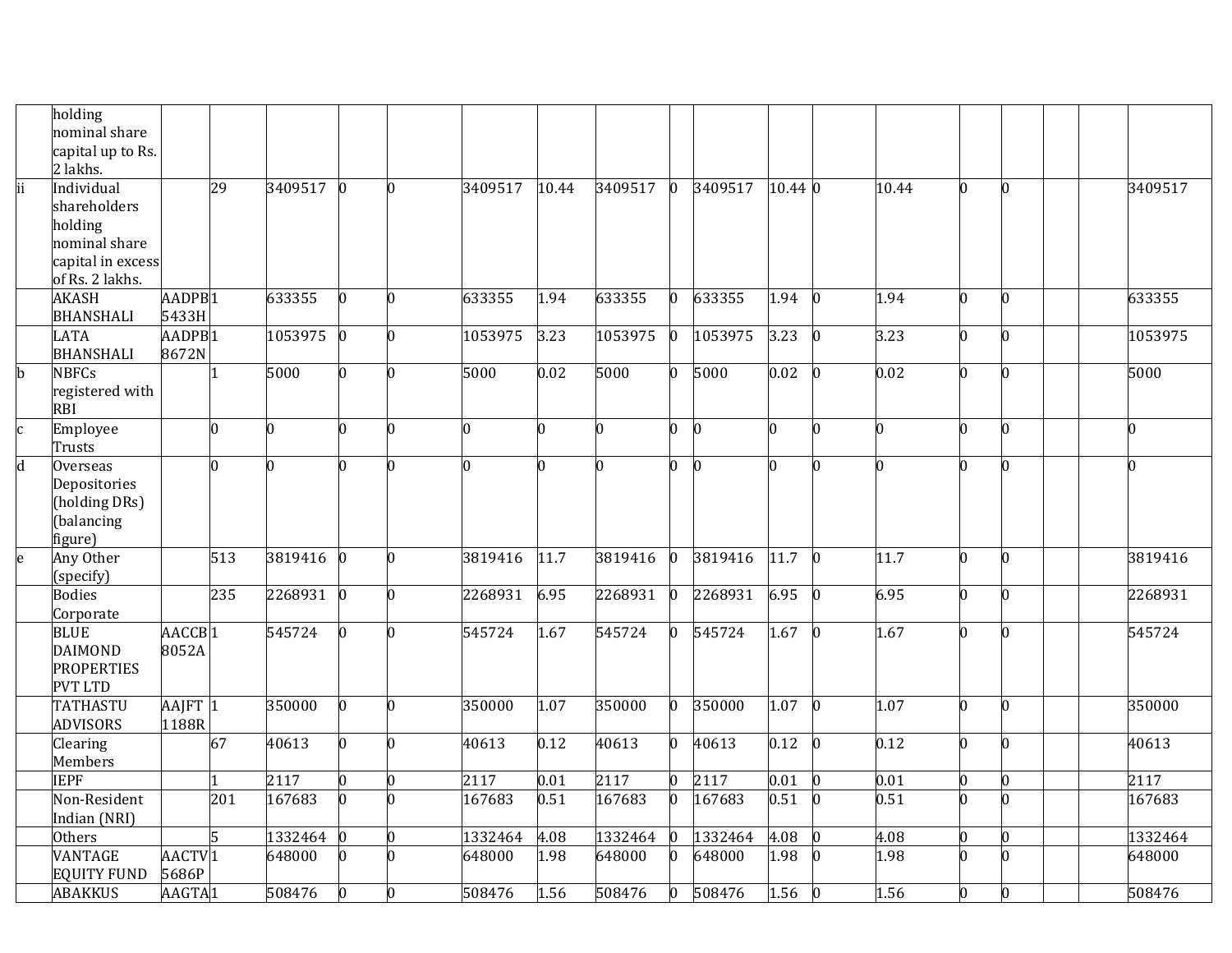|                         | holding           |                    |                |         |              |    |         |                   |         |                |          |          |                 |       |                |   |   |         |
|-------------------------|-------------------|--------------------|----------------|---------|--------------|----|---------|-------------------|---------|----------------|----------|----------|-----------------|-------|----------------|---|---|---------|
|                         | nominal share     |                    |                |         |              |    |         |                   |         |                |          |          |                 |       |                |   |   |         |
|                         | capital up to Rs. |                    |                |         |              |    |         |                   |         |                |          |          |                 |       |                |   |   |         |
|                         | 2 lakhs.          |                    |                |         |              |    |         |                   |         |                |          |          |                 |       |                |   |   |         |
| ii                      | Individual        |                    | 29             | 3409517 |              | O. | 3409517 | 10.44             | 3409517 | $\mathbf{0}$   | 3409517  | 10.44 0  |                 | 10.44 | $\overline{0}$ |   |   | 3409517 |
|                         | shareholders      |                    |                |         |              |    |         |                   |         |                |          |          |                 |       |                |   |   |         |
|                         | holding           |                    |                |         |              |    |         |                   |         |                |          |          |                 |       |                |   |   |         |
|                         | nominal share     |                    |                |         |              |    |         |                   |         |                |          |          |                 |       |                |   |   |         |
|                         | capital in excess |                    |                |         |              |    |         |                   |         |                |          |          |                 |       |                |   |   |         |
|                         | of Rs. 2 lakhs.   |                    |                |         |              |    |         |                   |         |                |          |          |                 |       |                |   |   |         |
|                         | <b>AKASH</b>      | AADPB <sub>1</sub> |                | 633355  |              | O. | 633355  | 1.94              | 633355  | 0              | 633355   | 1.94     | $\vert 0 \vert$ | 1.94  | 0              |   |   | 633355  |
|                         | <b>BHANSHALI</b>  | 5433H              |                |         |              |    |         |                   |         |                |          |          |                 |       |                |   |   |         |
|                         | LATA              | AADPB <sub>1</sub> |                | 1053975 |              | O. | 1053975 | 3.23              | 1053975 | 0              | 1053975  | 3.23     | 0               | 3.23  | 0              |   |   | 1053975 |
|                         | <b>BHANSHALI</b>  | 8672N              |                |         |              |    |         |                   |         |                |          |          |                 |       |                |   |   |         |
| $\mathbf b$             | <b>NBFCs</b>      |                    |                | 5000    |              | n  | 5000    | $\overline{0.02}$ | 5000    | $\overline{0}$ | 5000     | 0.02     | $\vert 0 \vert$ | 0.02  | $\overline{0}$ |   |   | 5000    |
|                         | registered with   |                    |                |         |              |    |         |                   |         |                |          |          |                 |       |                |   |   |         |
|                         | <b>RBI</b>        |                    |                |         |              |    |         |                   |         |                |          |          |                 |       |                |   |   |         |
| c                       | Employee          |                    | $\overline{0}$ | 0       | n            | O. | 0       | 0                 | n       | 0              | $\bf{0}$ |          | 0               | O.    | 0              | 0 | 0 |         |
|                         | Trusts            |                    |                |         |              |    |         |                   |         |                |          |          |                 |       |                |   |   |         |
| $\overline{\mathsf{d}}$ | Overseas          |                    | n.             | U       |              | n  | l0      | 0                 |         | 0              | $\bf{0}$ |          | 0               |       | n              |   | n |         |
|                         | Depositories      |                    |                |         |              |    |         |                   |         |                |          |          |                 |       |                |   |   |         |
|                         | (holding DRs)     |                    |                |         |              |    |         |                   |         |                |          |          |                 |       |                |   |   |         |
|                         | (balancing        |                    |                |         |              |    |         |                   |         |                |          |          |                 |       |                |   |   |         |
|                         | figure)           |                    |                |         |              |    |         |                   |         |                |          |          |                 |       |                |   |   |         |
| e                       | Any Other         |                    | 513            | 3819416 |              | l0 | 3819416 | 11.7              | 3819416 | O.             | 3819416  | 11.7     | $\mathbf{0}$    | 11.7  | $\overline{0}$ | n |   | 3819416 |
|                         | [specify]         |                    |                |         |              |    |         |                   |         |                |          |          |                 |       |                |   |   |         |
|                         | <b>Bodies</b>     |                    | 235            | 2268931 | $\Omega$     | O. | 2268931 | 6.95              | 2268931 | $\mathbf{0}$   | 2268931  | 6.95     | $\overline{0}$  | 6.95  | $\overline{0}$ | n |   | 2268931 |
|                         | Corporate         |                    |                |         |              |    |         |                   |         |                |          |          |                 |       |                |   |   |         |
|                         | <b>BLUE</b>       | AACCB <sub>1</sub> |                | 545724  |              | n. | 545724  | 1.67              | 545724  | $\mathbf 0$    | 545724   | $1.67$ 0 |                 | 1.67  | $\overline{0}$ | n |   | 545724  |
|                         | <b>DAIMOND</b>    | 8052A              |                |         |              |    |         |                   |         |                |          |          |                 |       |                |   |   |         |
|                         | <b>PROPERTIES</b> |                    |                |         |              |    |         |                   |         |                |          |          |                 |       |                |   |   |         |
|                         | <b>PVT LTD</b>    |                    |                |         |              |    |         |                   |         |                |          |          |                 |       |                |   |   |         |
|                         | <b>TATHASTU</b>   | AAJFT 1            |                | 350000  | <sup>0</sup> | n. | 350000  | 1.07              | 350000  | 0              | 350000   | 1.07     | $\mathbf{0}$    | 1.07  | 0              | n |   | 350000  |
|                         | <b>ADVISORS</b>   | 1188R              |                |         |              |    |         |                   |         |                |          |          |                 |       |                |   |   |         |
|                         | Clearing          |                    | 67             | 40613   |              | n. | 40613   | 0.12              | 40613   | $\overline{0}$ | 40613    | 0.12     | $\overline{0}$  | 0.12  | $\overline{0}$ | n |   | 40613   |
|                         | Members           |                    |                |         |              |    |         |                   |         |                |          |          |                 |       |                |   |   |         |
|                         | <b>IEPF</b>       |                    |                | 2117    | U            | n. | 2117    | 0.01              | 2117    | O.             | 2117     | 0.01     | n               | 0.01  | $\bf{0}$       |   |   | 2117    |
|                         | Non-Resident      |                    | 201            | 167683  | <sup>0</sup> |    | 167683  | 0.51              | 167683  | $\overline{0}$ | 167683   | 0.51     | 0               | 0.51  | n              |   |   | 167683  |
|                         | Indian (NRI)      |                    |                |         |              |    |         |                   |         |                |          |          |                 |       |                |   |   |         |
|                         | Others            |                    | 5              | 1332464 |              | O. | 1332464 | 4.08              | 1332464 |                | 1332464  | 4.08     |                 | 4.08  | $\overline{0}$ |   |   | 1332464 |
|                         | VANTAGE           | AACTV <sub>1</sub> |                | 648000  |              | n. | 648000  | 1.98              | 648000  | 0              | 648000   | 1.98     |                 | 1.98  | $\overline{0}$ | n |   | 648000  |
|                         | EQUITY FUND       | 5686P              |                |         |              |    |         |                   |         |                |          |          |                 |       |                |   |   |         |
|                         | <b>ABAKKUS</b>    | AAGTA1             |                | 508476  |              | n. | 508476  | 1.56              | 508476  | $\overline{0}$ | 508476   | 1.56     |                 | 1.56  | $\bf{0}$       |   |   | 508476  |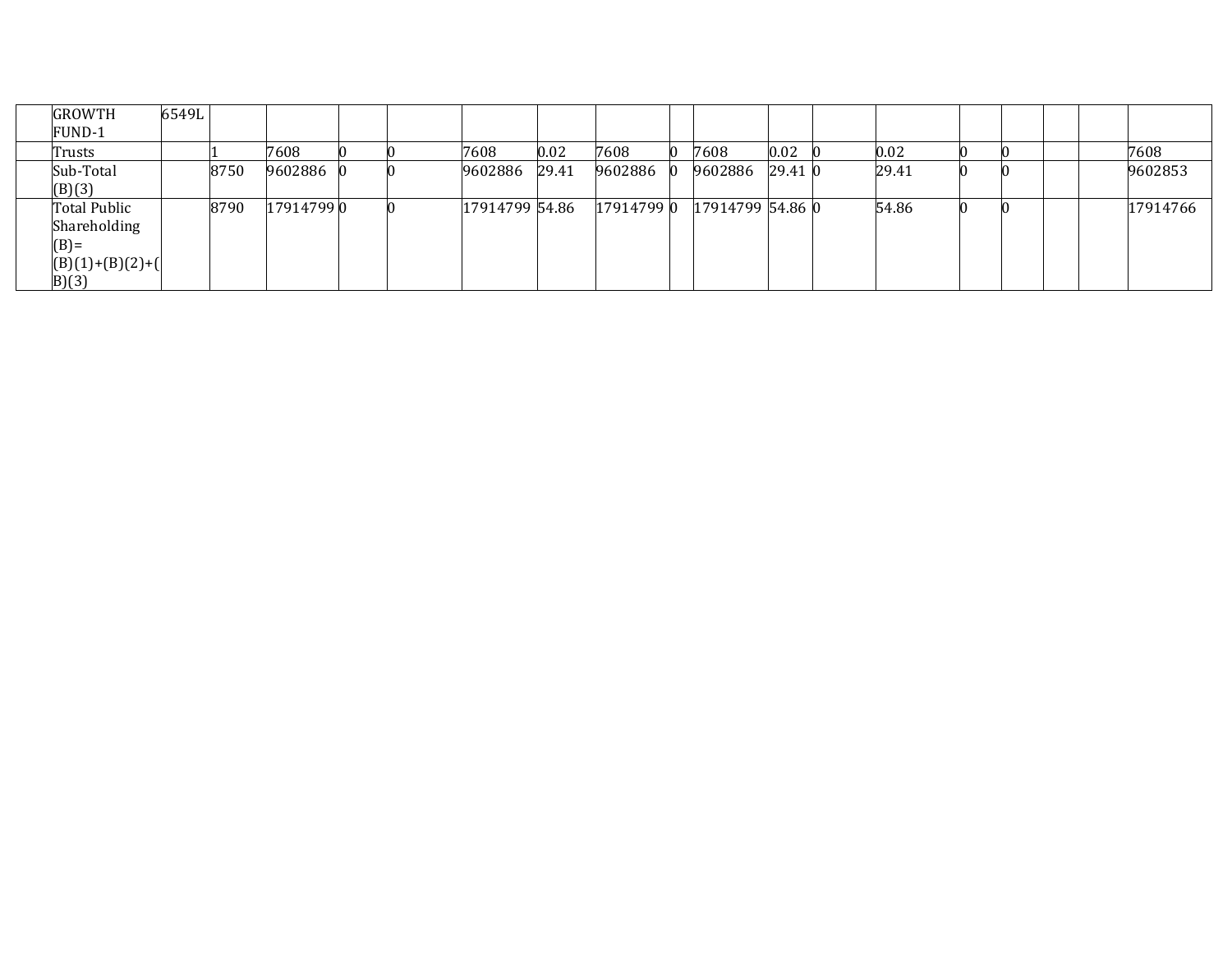| <b>GROWTH</b>                                                        | 6549L |      |           |  |                |       |            |                  |         |       |  |  |          |
|----------------------------------------------------------------------|-------|------|-----------|--|----------------|-------|------------|------------------|---------|-------|--|--|----------|
| FUND-1                                                               |       |      |           |  |                |       |            |                  |         |       |  |  |          |
| Trusts                                                               |       |      | 7608      |  | 7608           | 0.02  | 7608       | 7608             | 0.02    | 0.02  |  |  | 7608     |
| Sub-Total<br>(B)(3)                                                  |       | 8750 | 9602886   |  | 9602886        | 29.41 | 9602886    | 9602886          | 29.41 0 | 29.41 |  |  | 9602853  |
| Total Public<br>Shareholding<br>$(B)=$<br>$(B)(1)+(B)(2)+($<br>B)(3) |       | 8790 | 179147990 |  | 17914799 54.86 |       | 17914799 0 | 17914799 54.86 0 |         | 54.86 |  |  | 17914766 |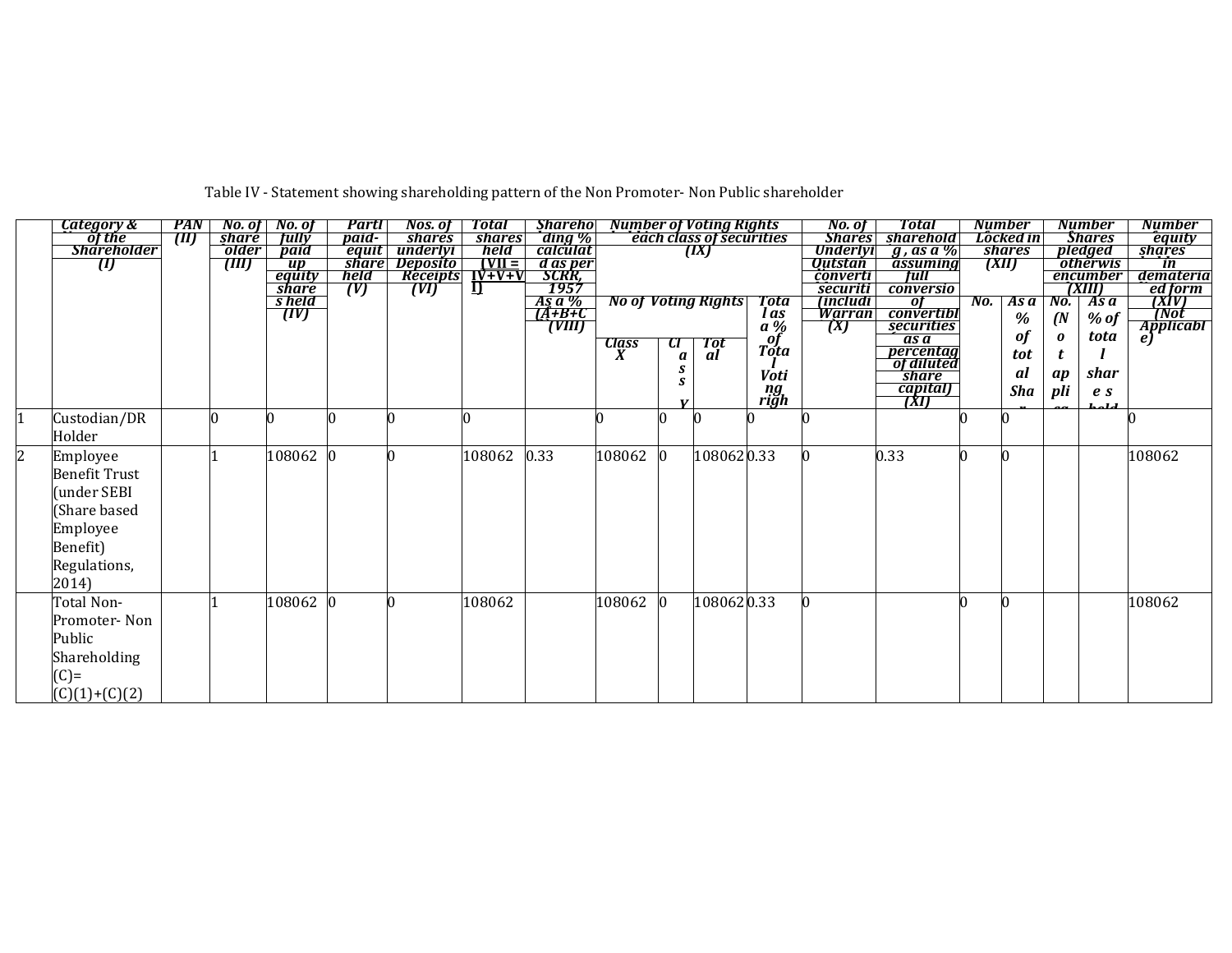|   | Category &         | PAN |              | $\begin{array}{ c c c } \hline \textbf{No. of} & \textbf{No. of} \end{array}$ | Partl                | Nos. of                 | Total                            | <b>Sharehol</b> |        |                | <b>Number of Voting Rights</b> |                              | No. of                     | Total                      |     | <b>Number</b> |               | <b>Number</b>                      | <b>Number</b>            |
|---|--------------------|-----|--------------|-------------------------------------------------------------------------------|----------------------|-------------------------|----------------------------------|-----------------|--------|----------------|--------------------------------|------------------------------|----------------------------|----------------------------|-----|---------------|---------------|------------------------------------|--------------------------|
|   | öf the             | TM) | <b>share</b> | <b>fully</b>                                                                  | paid-                | <b>shares</b>           | <b>shares</b>                    | ding %          |        |                | each class of securities       |                              | <b>Shares</b>              | sharehold                  |     | Locked in     |               | <b>Shares</b>                      | equity                   |
|   | <b>Shareholder</b> |     | older        | paid                                                                          | equit                | underlyi                | held                             | calculat        |        |                | (IX)                           |                              | Underlyi                   | $g$ , as a %               |     | <b>shares</b> |               | pledged                            | shares                   |
|   | U                  |     | (III)        | $\overline{up}$                                                               | <b>share</b><br>held | <b>Deposito</b>         | $IVII =$                         | d as per        |        |                |                                |                              | <b>Outstan</b><br>converti | assuming<br><b>Tull</b>    |     | (XII)         |               | <i><b>otherwis</b></i><br>encumber | $\overline{\mathbf{m}}$  |
|   |                    |     |              | equity<br><b>share</b>                                                        | (V)                  | <b>Receipts</b><br>(VI) | $\frac{1}{\sqrt{1-\frac{1}{2}}}$ | SCRR,<br>1957   |        |                |                                |                              | securiti                   | <b>conversio</b>           |     |               |               | (XIII)                             | demateria                |
|   |                    |     |              | s held                                                                        |                      |                         |                                  | As a %          |        |                | <b>No of Voting Rights</b>     | <b>Tota</b>                  | (includi                   | of                         | No. | Asa           | No.           | As a                               | ed form<br>[XIV]<br>[Not |
|   |                    |     |              | (IV)                                                                          |                      |                         |                                  |                 |        |                |                                | l as                         | Warran                     | convertibl                 |     | %             | $\mathcal{N}$ | $%$ of                             |                          |
|   |                    |     |              |                                                                               |                      |                         |                                  |                 |        |                |                                | $\overline{a} \overline{\%}$ | (X)                        | securities                 |     |               |               |                                    | <b>Applicabl</b>         |
|   |                    |     |              |                                                                               |                      |                         |                                  |                 | Class  | $\mathfrak{a}$ | Tot<br>al                      | of                           |                            | as a                       |     | of            | 0             | tota                               | e)                       |
|   |                    |     |              |                                                                               |                      |                         |                                  |                 |        | a              |                                | Tota                         |                            | percentag<br>of diluted    |     | tot           |               |                                    |                          |
|   |                    |     |              |                                                                               |                      |                         |                                  |                 |        |                |                                | Voti                         |                            | <b><i><u>Share</u></i></b> |     | al            | ap            | shar                               |                          |
|   |                    |     |              |                                                                               |                      |                         |                                  |                 |        |                |                                |                              |                            |                            |     | Sha           | pli           | $\boldsymbol{e}$ s                 |                          |
|   |                    |     |              |                                                                               |                      |                         |                                  |                 |        | $\mathbf{v}$   |                                | ng<br>righ                   |                            | <i>capital</i>             |     |               |               | L - 1 J                            |                          |
|   | Custodian/DR       |     | n            |                                                                               |                      |                         |                                  |                 |        |                |                                |                              |                            |                            |     |               |               |                                    |                          |
|   | Holder             |     |              |                                                                               |                      |                         |                                  |                 |        |                |                                |                              |                            |                            |     |               |               |                                    |                          |
|   |                    |     |              |                                                                               |                      | n                       |                                  |                 |        |                |                                |                              |                            |                            |     | $\Omega$      |               |                                    |                          |
| 2 | Employee           |     |              | 108062                                                                        |                      |                         | 108062                           | 0.33            | 108062 |                | 1080620.33                     |                              |                            | 0.33                       |     |               |               |                                    | 108062                   |
|   | Benefit Trust      |     |              |                                                                               |                      |                         |                                  |                 |        |                |                                |                              |                            |                            |     |               |               |                                    |                          |
|   | under SEBI         |     |              |                                                                               |                      |                         |                                  |                 |        |                |                                |                              |                            |                            |     |               |               |                                    |                          |
|   | Share based        |     |              |                                                                               |                      |                         |                                  |                 |        |                |                                |                              |                            |                            |     |               |               |                                    |                          |
|   | Employee           |     |              |                                                                               |                      |                         |                                  |                 |        |                |                                |                              |                            |                            |     |               |               |                                    |                          |
|   |                    |     |              |                                                                               |                      |                         |                                  |                 |        |                |                                |                              |                            |                            |     |               |               |                                    |                          |
|   | Benefit)           |     |              |                                                                               |                      |                         |                                  |                 |        |                |                                |                              |                            |                            |     |               |               |                                    |                          |
|   | Regulations,       |     |              |                                                                               |                      |                         |                                  |                 |        |                |                                |                              |                            |                            |     |               |               |                                    |                          |
|   | 2014)              |     |              |                                                                               |                      |                         |                                  |                 |        |                |                                |                              |                            |                            |     |               |               |                                    |                          |
|   | Total Non-         |     |              | 108062                                                                        |                      |                         | 108062                           |                 | 108062 |                | 1080620.33                     |                              |                            |                            |     |               |               |                                    | 108062                   |
|   | Promoter- Non      |     |              |                                                                               |                      |                         |                                  |                 |        |                |                                |                              |                            |                            |     |               |               |                                    |                          |
|   |                    |     |              |                                                                               |                      |                         |                                  |                 |        |                |                                |                              |                            |                            |     |               |               |                                    |                          |
|   | Public             |     |              |                                                                               |                      |                         |                                  |                 |        |                |                                |                              |                            |                            |     |               |               |                                    |                          |
|   | Shareholding       |     |              |                                                                               |                      |                         |                                  |                 |        |                |                                |                              |                            |                            |     |               |               |                                    |                          |
|   | $(C)=$             |     |              |                                                                               |                      |                         |                                  |                 |        |                |                                |                              |                            |                            |     |               |               |                                    |                          |
|   | $(C)(1)+(C)(2)$    |     |              |                                                                               |                      |                         |                                  |                 |        |                |                                |                              |                            |                            |     |               |               |                                    |                          |

Table IV - Statement showing shareholding pattern of the Non Promoter- Non Public shareholder